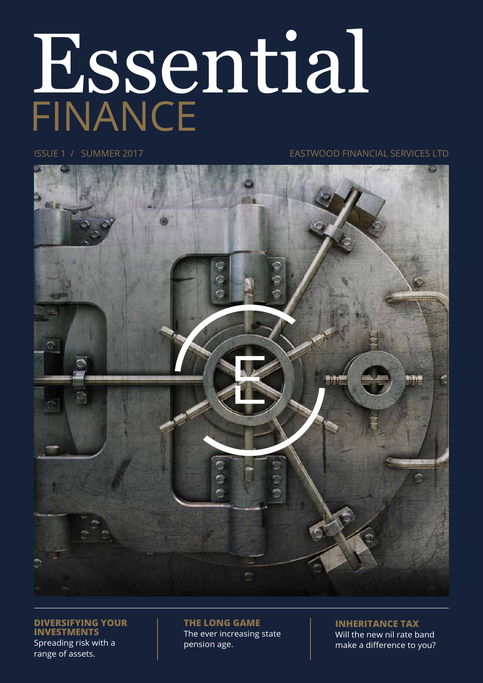# Essential FINANCE

ISSUE 1 / SUMMER 2017 EASTWOOD FINANCIAL SERVICES LTD



**DIVERSIFYING YOUR INVESTMENTS**

Spreading risk with a range of assets.

#### **THE LONG GAME**

The ever increasing state pension age.

**INHERITANCE TAX** Will the new nil rate band make a difference to you?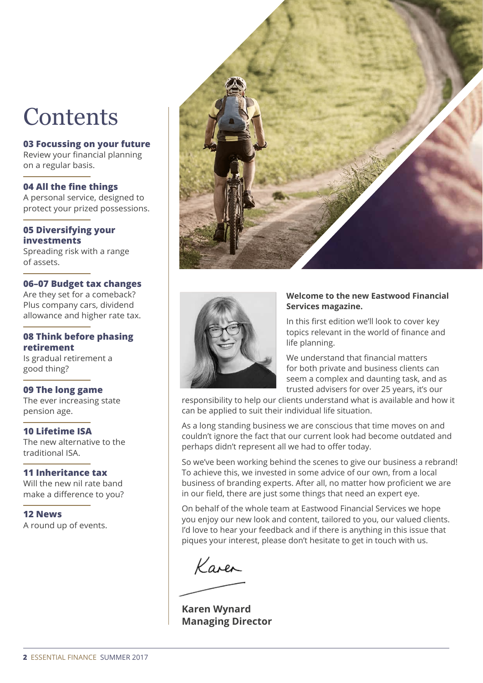## **Contents**

#### **03 Focussing on your future**

Review your financial planning on a regular basis.

#### **04 All the fine things**

A personal service, designed to protect your prized possessions.

#### **05 Diversifying your investments**

Spreading risk with a range of assets.

#### **06–07 Budget tax changes**

Are they set for a comeback? Plus company cars, dividend allowance and higher rate tax.

#### **08 Think before phasing retirement**

Is gradual retirement a good thing?

#### **09 The long game**

The ever increasing state pension age.

#### **10 Lifetime ISA**

The new alternative to the traditional ISA.

#### **11 Inheritance tax**

Will the new nil rate band make a difference to you?

**12 News** A round up of events.





#### **Welcome to the new Eastwood Financial Services magazine.**

In this first edition we'll look to cover key topics relevant in the world of finance and life planning.

We understand that financial matters for both private and business clients can seem a complex and daunting task, and as trusted advisers for over 25 years, it's our

responsibility to help our clients understand what is available and how it can be applied to suit their individual life situation.

As a long standing business we are conscious that time moves on and couldn't ignore the fact that our current look had become outdated and perhaps didn't represent all we had to offer today.

So we've been working behind the scenes to give our business a rebrand! To achieve this, we invested in some advice of our own, from a local business of branding experts. After all, no matter how proficient we are in our field, there are just some things that need an expert eye.

On behalf of the whole team at Eastwood Financial Services we hope you enjoy our new look and content, tailored to you, our valued clients. I'd love to hear your feedback and if there is anything in this issue that piques your interest, please don't hesitate to get in touch with us.

Karen

**Karen Wynard Managing Director**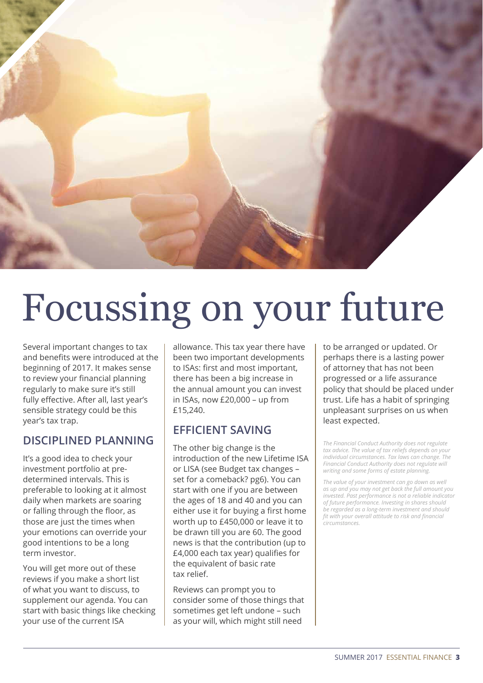

# Focussing on your future

Several important changes to tax and benefits were introduced at the beginning of 2017. It makes sense to review your financial planning regularly to make sure it's still fully effective. After all, last year's sensible strategy could be this year's tax trap.

### **DISCIPLINED PLANNING**

It's a good idea to check your investment portfolio at predetermined intervals. This is preferable to looking at it almost daily when markets are soaring or falling through the floor, as those are just the times when your emotions can override your good intentions to be a long term investor.

You will get more out of these reviews if you make a short list of what you want to discuss, to supplement our agenda. You can start with basic things like checking your use of the current ISA

allowance. This tax year there have been two important developments to ISAs: first and most important, there has been a big increase in the annual amount you can invest in ISAs, now £20,000 – up from £15,240.

### **EFFICIENT SAVING**

The other big change is the introduction of the new Lifetime ISA or LISA (see Budget tax changes – set for a comeback? pg6). You can start with one if you are between the ages of 18 and 40 and you can either use it for buying a first home worth up to £450,000 or leave it to be drawn till you are 60. The good news is that the contribution (up to £4,000 each tax year) qualifies for the equivalent of basic rate tax relief.

Reviews can prompt you to consider some of those things that sometimes get left undone – such as your will, which might still need

to be arranged or updated. Or perhaps there is a lasting power of attorney that has not been progressed or a life assurance policy that should be placed under trust. Life has a habit of springing unpleasant surprises on us when least expected.

*The Financial Conduct Authority does not regulate tax advice. The value of tax reliefs depends on your individual circumstances. Tax laws can change. The Financial Conduct Authority does not regulate will writing and some forms of estate planning.*

*The value of your investment can go down as well as up and you may not get back the full amount you invested. Past performance is not a reliable indicator of future performance. Investing in shares should be regarded as a long-term investment and should fit with your overall attitude to risk and financial circumstances.*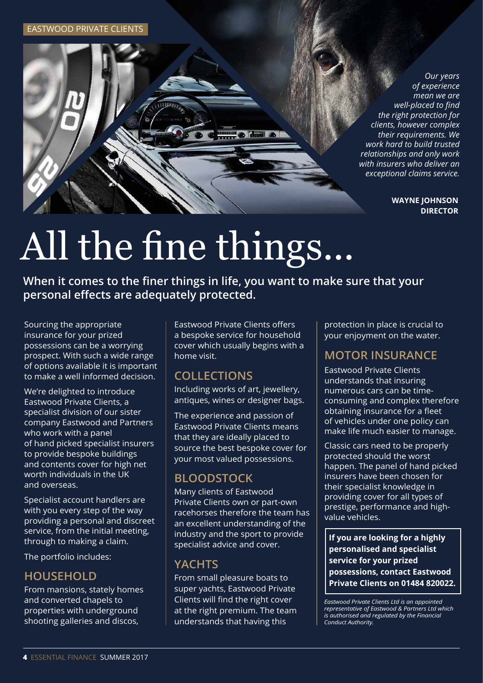*Our years of experience mean we are well-placed to find the right protection for clients, however complex their requirements. We work hard to build trusted relationships and only work with insurers who deliver an exceptional claims service.*

> **WAYNE JOHNSON DIRECTOR**

# All the fine things...

**When it comes to the finer things in life, you want to make sure that your personal effects are adequately protected.** 

Sourcing the appropriate insurance for your prized possessions can be a worrying prospect. With such a wide range of options available it is important to make a well informed decision.

We're delighted to introduce Eastwood Private Clients, a specialist division of our sister company Eastwood and Partners who work with a panel of hand picked specialist insurers to provide bespoke buildings and contents cover for high net worth individuals in the UK and overseas.

Specialist account handlers are with you every step of the way providing a personal and discreet service, from the initial meeting, through to making a claim.

The portfolio includes:

### **HOUSEHOLD**

From mansions, stately homes and converted chapels to properties with underground shooting galleries and discos,

Eastwood Private Clients offers a bespoke service for household cover which usually begins with a home visit.

### **COLLECTIONS**

Including works of art, jewellery, antiques, wines or designer bags.

The experience and passion of Eastwood Private Clients means that they are ideally placed to source the best bespoke cover for your most valued possessions.

### **BLOODSTOCK**

Many clients of Eastwood Private Clients own or part-own racehorses therefore the team has an excellent understanding of the industry and the sport to provide specialist advice and cover.

### **YACHTS**

From small pleasure boats to super yachts, Eastwood Private Clients will find the right cover at the right premium. The team understands that having this

protection in place is crucial to your enjoyment on the water.

### **MOTOR INSURANCE**

Eastwood Private Clients understands that insuring numerous cars can be timeconsuming and complex therefore obtaining insurance for a fleet of vehicles under one policy can make life much easier to manage.

Classic cars need to be properly protected should the worst happen. The panel of hand picked insurers have been chosen for their specialist knowledge in providing cover for all types of prestige, performance and highvalue vehicles.

**If you are looking for a highly personalised and specialist service for your prized possessions, contact Eastwood Private Clients on 01484 820022.** 

*Eastwood Private Clients Ltd is an appointed representative of Eastwood & Partners Ltd which is authorised and regulated by the Financial Conduct Authority.*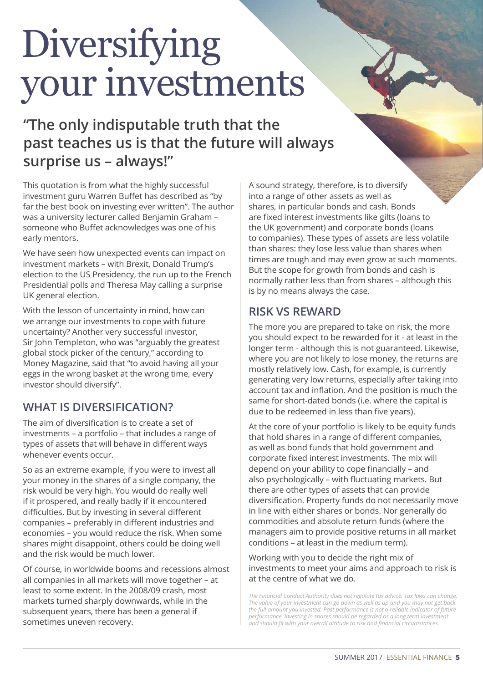# Diversifying your investments

**"The only indisputable truth that the past teaches us is that the future will always surprise us – always!"** 

This quotation is from what the highly successful investment guru Warren Buffet has described as "by far the best book on investing ever written". The author was a university lecturer called Benjamin Graham – someone who Buffet acknowledges was one of his early mentors.

We have seen how unexpected events can impact on investment markets – with Brexit, Donald Trump's election to the US Presidency, the run up to the French Presidential polls and Theresa May calling a surprise UK general election.

With the lesson of uncertainty in mind, how can we arrange our investments to cope with future uncertainty? Another very successful investor, Sir John Templeton, who was "arguably the greatest global stock picker of the century," according to Money Magazine, said that "to avoid having all your eggs in the wrong basket at the wrong time, every investor should diversify".

### **WHAT IS DIVERSIFICATION?**

The aim of diversification is to create a set of investments – a portfolio – that includes a range of types of assets that will behave in different ways whenever events occur.

So as an extreme example, if you were to invest all your money in the shares of a single company, the risk would be very high. You would do really well if it prospered, and really badly if it encountered difficulties. But by investing in several different companies – preferably in different industries and economies – you would reduce the risk. When some shares might disappoint, others could be doing well and the risk would be much lower.

Of course, in worldwide booms and recessions almost all companies in all markets will move together – at least to some extent. In the 2008/09 crash, most markets turned sharply downwards, while in the subsequent years, there has been a general if sometimes uneven recovery.

A sound strategy, therefore, is to diversify into a range of other assets as well as shares, in particular bonds and cash. Bonds are fixed interest investments like gilts (loans to the UK government) and corporate bonds (loans to companies). These types of assets are less volatile than shares: they lose less value than shares when times are tough and may even grow at such moments. But the scope for growth from bonds and cash is normally rather less than from shares – although this is by no means always the case.

### **RISK VS REWARD**

The more you are prepared to take on risk, the more you should expect to be rewarded for it - at least in the longer term - although this is not guaranteed. Likewise, where you are not likely to lose money, the returns are mostly relatively low. Cash, for example, is currently generating very low returns, especially after taking into account tax and inflation. And the position is much the same for short-dated bonds (i.e. where the capital is due to be redeemed in less than five years).

At the core of your portfolio is likely to be equity funds that hold shares in a range of different companies, as well as bond funds that hold government and corporate fixed interest investments. The mix will depend on your ability to cope financially – and also psychologically – with fluctuating markets. But there are other types of assets that can provide diversification. Property funds do not necessarily move in line with either shares or bonds. Nor generally do commodities and absolute return funds (where the managers aim to provide positive returns in all market conditions – at least in the medium term).

Working with you to decide the right mix of investments to meet your aims and approach to risk is at the centre of what we do.

*The Financial Conduct Authority does not regulate tax advice. Tax laws can change. The value of your investment can go down as well as up and you may not get back the full amount you invested. Past performance is not a reliable indicator of future performance. Investing in shares should be regarded as a long term investment and should fit with your overall attitude to risk and financial circumstances.*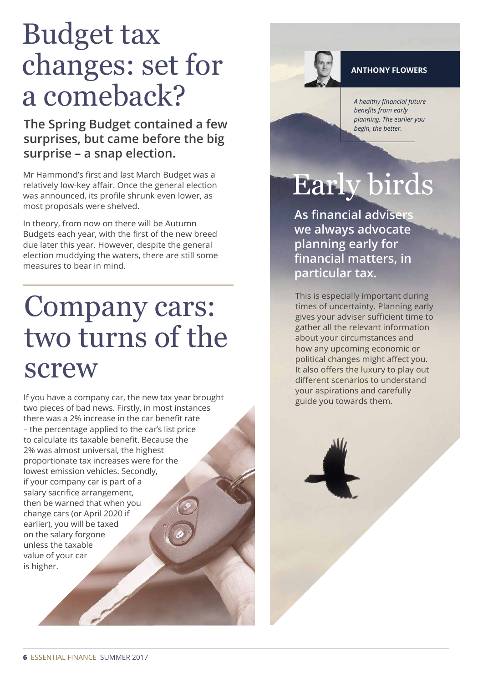## Budget tax changes: set for a comeback?

**The Spring Budget contained a few surprises, but came before the big surprise – a snap election.** 

Mr Hammond's first and last March Budget was a relatively low-key affair. Once the general election was announced, its profile shrunk even lower, as most proposals were shelved.

In theory, from now on there will be Autumn Budgets each year, with the first of the new breed due later this year. However, despite the general election muddying the waters, there are still some measures to bear in mind.

## Company cars: two turns of the screw

If you have a company car, the new tax year brought two pieces of bad news. Firstly, in most instances there was a 2% increase in the car benefit rate – the percentage applied to the car's list price to calculate its taxable benefit. Because the 2% was almost universal, the highest proportionate tax increases were for the lowest emission vehicles. Secondly, if your company car is part of a salary sacrifice arrangement, then be warned that when you change cars (or April 2020 if earlier), you will be taxed on the salary forgone unless the taxable value of your car is higher.

#### **ANTHONY FLOWERS**

*A healthy financial future benefits from early planning. The earlier you begin, the better.*

# Early birds

**As financial advisers we always advocate planning early for financial matters, in particular tax.** 

This is especially important during times of uncertainty. Planning early gives your adviser sufficient time to gather all the relevant information about your circumstances and how any upcoming economic or political changes might affect you. It also offers the luxury to play out different scenarios to understand your aspirations and carefully guide you towards them.

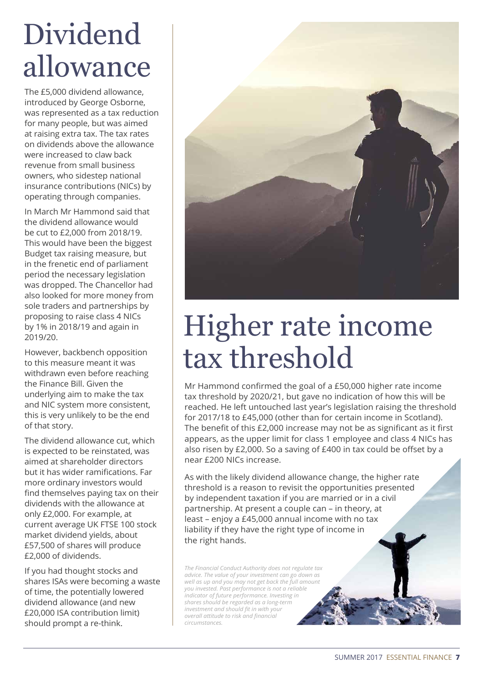# Dividend allowance

The £5,000 dividend allowance, introduced by George Osborne, was represented as a tax reduction for many people, but was aimed at raising extra tax. The tax rates on dividends above the allowance were increased to claw back revenue from small business owners, who sidestep national insurance contributions (NICs) by operating through companies.

In March Mr Hammond said that the dividend allowance would be cut to £2,000 from 2018/19. This would have been the biggest Budget tax raising measure, but in the frenetic end of parliament period the necessary legislation was dropped. The Chancellor had also looked for more money from sole traders and partnerships by proposing to raise class 4 NICs by 1% in 2018/19 and again in 2019/20.

However, backbench opposition to this measure meant it was withdrawn even before reaching the Finance Bill. Given the underlying aim to make the tax and NIC system more consistent, this is very unlikely to be the end of that story.

The dividend allowance cut, which is expected to be reinstated, was aimed at shareholder directors but it has wider ramifications. Far more ordinary investors would find themselves paying tax on their dividends with the allowance at only £2,000. For example, at current average UK FTSE 100 stock market dividend yields, about £57,500 of shares will produce £2,000 of dividends.

If you had thought stocks and shares ISAs were becoming a waste of time, the potentially lowered dividend allowance (and new £20,000 ISA contribution limit) should prompt a re-think.



# Higher rate income tax threshold

Mr Hammond confirmed the goal of a £50,000 higher rate income tax threshold by 2020/21, but gave no indication of how this will be reached. He left untouched last year's legislation raising the threshold for 2017/18 to £45,000 (other than for certain income in Scotland). The benefit of this £2,000 increase may not be as significant as it first appears, as the upper limit for class 1 employee and class 4 NICs has also risen by £2,000. So a saving of £400 in tax could be offset by a near £200 NICs increase.

As with the likely dividend allowance change, the higher rate threshold is a reason to revisit the opportunities presented by independent taxation if you are married or in a civil partnership. At present a couple can – in theory, at least – enjoy a £45,000 annual income with no tax liability if they have the right type of income in the right hands.

*The Financial Conduct Authority does not regulate tax advice. The value of your investment can go down as well as up and you may not get back the full amount you invested. Past performance is not a reliable indicator of future performance. Investing in shares should be regarded as a long-term investment and should fit in with your overall attitude to risk and financial circumstances.*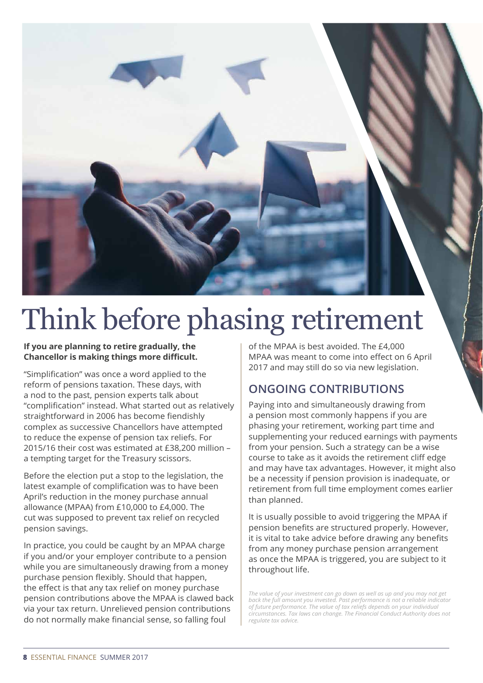

# Think before phasing retirement

#### **If you are planning to retire gradually, the Chancellor is making things more difficult.**

"Simplification" was once a word applied to the reform of pensions taxation. These days, with a nod to the past, pension experts talk about "complification" instead. What started out as relatively straightforward in 2006 has become fiendishly complex as successive Chancellors have attempted to reduce the expense of pension tax reliefs. For 2015/16 their cost was estimated at £38,200 million – a tempting target for the Treasury scissors.

Before the election put a stop to the legislation, the latest example of complification was to have been April's reduction in the money purchase annual allowance (MPAA) from £10,000 to £4,000. The cut was supposed to prevent tax relief on recycled pension savings.

In practice, you could be caught by an MPAA charge if you and/or your employer contribute to a pension while you are simultaneously drawing from a money purchase pension flexibly. Should that happen, the effect is that any tax relief on money purchase pension contributions above the MPAA is clawed back via your tax return. Unrelieved pension contributions do not normally make financial sense, so falling foul

of the MPAA is best avoided. The £4,000 MPAA was meant to come into effect on 6 April 2017 and may still do so via new legislation.

### **ONGOING CONTRIBUTIONS**

Paying into and simultaneously drawing from a pension most commonly happens if you are phasing your retirement, working part time and supplementing your reduced earnings with payments from your pension. Such a strategy can be a wise course to take as it avoids the retirement cliff edge and may have tax advantages. However, it might also be a necessity if pension provision is inadequate, or retirement from full time employment comes earlier than planned.

It is usually possible to avoid triggering the MPAA if pension benefits are structured properly. However, it is vital to take advice before drawing any benefits from any money purchase pension arrangement as once the MPAA is triggered, you are subject to it throughout life.

*The value of your investment can go down as well as up and you may not get back the full amount you invested. Past performance is not a reliable indicator of future performance. The value of tax reliefs depends on your individual circumstances. Tax laws can change. The Financial Conduct Authority does not regulate tax advice.*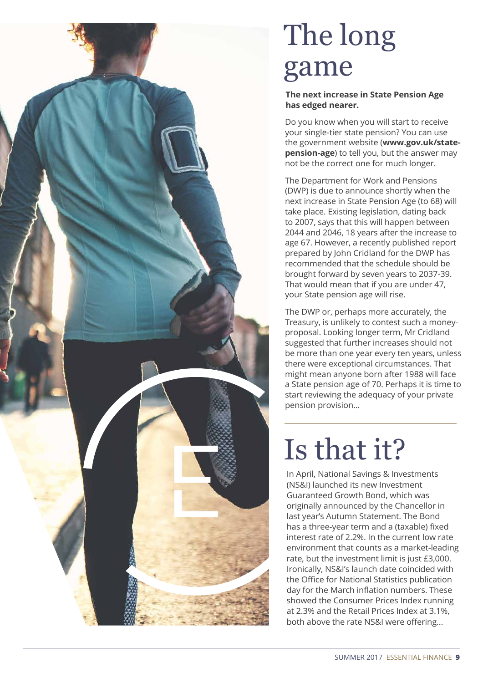# The long game

**The next increase in State Pension Age has edged nearer.**

Do you know when you will start to receive your single-tier state pension? You can use the government website (**www.gov.uk/statepension-age**) to tell you, but the answer may not be the correct one for much longer.

The Department for Work and Pensions (DWP) is due to announce shortly when the next increase in State Pension Age (to 68) will take place. Existing legislation, dating back to 2007, says that this will happen between 2044 and 2046, 18 years after the increase to age 67. However, a recently published report prepared by John Cridland for the DWP has recommended that the schedule should be brought forward by seven years to 2037-39. That would mean that if you are under 47, your State pension age will rise.

The DWP or, perhaps more accurately, the Treasury, is unlikely to contest such a moneyproposal. Looking longer term, Mr Cridland suggested that further increases should not be more than one year every ten years, unless there were exceptional circumstances. That might mean anyone born after 1988 will face a State pension age of 70. Perhaps it is time to start reviewing the adequacy of your private pension provision…

# Is that it?

In April, National Savings & Investments (NS&I) launched its new Investment Guaranteed Growth Bond, which was originally announced by the Chancellor in last year's Autumn Statement. The Bond has a three-year term and a (taxable) fixed interest rate of 2.2%. In the current low rate environment that counts as a market-leading rate, but the investment limit is just £3,000. Ironically, NS&I's launch date coincided with the Office for National Statistics publication day for the March inflation numbers. These showed the Consumer Prices Index running at 2.3% and the Retail Prices Index at 3.1%, both above the rate NS&I were offering…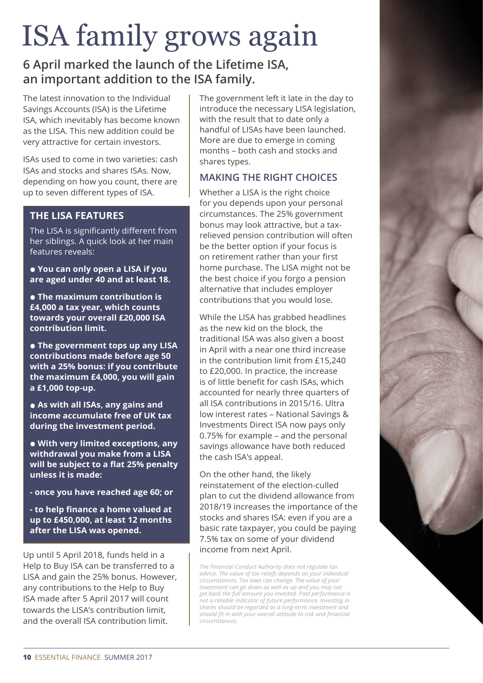# ISA family grows again

### **6 April marked the launch of the Lifetime ISA, an important addition to the ISA family.**

The latest innovation to the Individual Savings Accounts (ISA) is the Lifetime ISA, which inevitably has become known as the LISA. This new addition could be very attractive for certain investors.

ISAs used to come in two varieties: cash ISAs and stocks and shares ISAs. Now, depending on how you count, there are up to seven different types of ISA.

### **THE LISA FEATURES**

The LISA is significantly different from her siblings. A quick look at her main features reveals:

**• You can only open a LISA if you are aged under 40 and at least 18.**

**• The maximum contribution is £4,000 a tax year, which counts towards your overall £20,000 ISA contribution limit.**

**• The government tops up any LISA contributions made before age 50 with a 25% bonus: if you contribute the maximum £4,000, you will gain a £1,000 top-up.** 

**• As with all ISAs, any gains and income accumulate free of UK tax during the investment period.**

**• With very limited exceptions, any withdrawal you make from a LISA will be subject to a flat 25% penalty unless it is made:** 

**- once you have reached age 60; or** 

**- to help finance a home valued at up to £450,000, at least 12 months after the LISA was opened.** 

Up until 5 April 2018, funds held in a Help to Buy ISA can be transferred to a LISA and gain the 25% bonus. However, any contributions to the Help to Buy ISA made after 5 April 2017 will count towards the LISA's contribution limit, and the overall ISA contribution limit.

The government left it late in the day to introduce the necessary LISA legislation, with the result that to date only a handful of LISAs have been launched. More are due to emerge in coming months – both cash and stocks and shares types.

### **MAKING THE RIGHT CHOICES**

Whether a LISA is the right choice for you depends upon your personal circumstances. The 25% government bonus may look attractive, but a taxrelieved pension contribution will often be the better option if your focus is on retirement rather than your first home purchase. The LISA might not be the best choice if you forgo a pension alternative that includes employer contributions that you would lose.

While the LISA has grabbed headlines as the new kid on the block, the traditional ISA was also given a boost in April with a near one third increase in the contribution limit from £15,240 to £20,000. In practice, the increase is of little benefit for cash ISAs, which accounted for nearly three quarters of all ISA contributions in 2015/16. Ultra low interest rates – National Savings & Investments Direct ISA now pays only 0.75% for example – and the personal savings allowance have both reduced the cash ISA's appeal.

On the other hand, the likely reinstatement of the election-culled plan to cut the dividend allowance from 2018/19 increases the importance of the stocks and shares ISA: even if you are a basic rate taxpayer, you could be paying 7.5% tax on some of your dividend income from next April.

*The Financial Conduct Authority does not regulate tax advice. The value of tax reliefs depends on your individual circumstances. Tax laws can change. The value of your investment can go down as well as up and you may not get back the full amount you invested. Past performance is not a reliable indicator of future performance. Investing in shares should be regarded as a long-term investment and should fit in with your overall attitude to risk and financial circumstances.*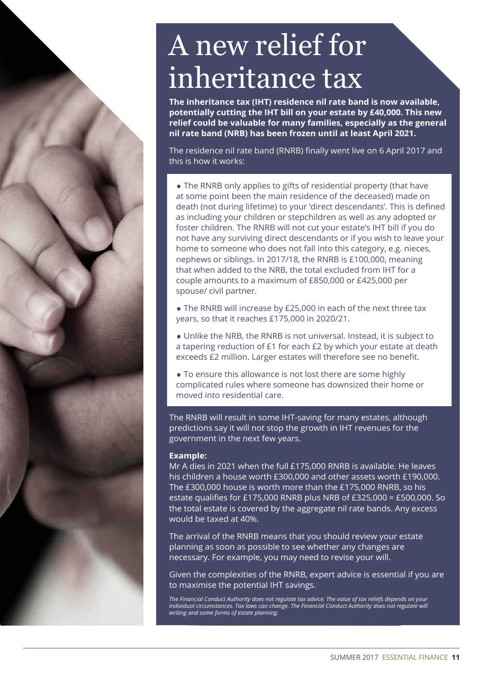# A new relief for inheritance tax

**The inheritance tax (IHT) residence nil rate band is now available, potentially cutting the IHT bill on your estate by £40,000. This new relief could be valuable for many families, especially as the general nil rate band (NRB) has been frozen until at least April 2021.**

The residence nil rate band (RNRB) finally went live on 6 April 2017 and this is how it works:

• The RNRB only applies to gifts of residential property (that have at some point been the main residence of the deceased) made on death (not during lifetime) to your 'direct descendants'. This is defined as including your children or stepchildren as well as any adopted or foster children. The RNRB will not cut your estate's IHT bill if you do not have any surviving direct descendants or if you wish to leave your home to someone who does not fall into this category, e.g. nieces, nephews or siblings. In 2017/18, the RNRB is £100,000, meaning that when added to the NRB, the total excluded from IHT for a couple amounts to a maximum of £850,000 or £425,000 per spouse/ civil partner.

• The RNRB will increase by £25,000 in each of the next three tax years, so that it reaches £175,000 in 2020/21.

• Unlike the NRB, the RNRB is not universal. Instead, it is subject to a tapering reduction of £1 for each £2 by which your estate at death exceeds £2 million. Larger estates will therefore see no benefit.

• To ensure this allowance is not lost there are some highly complicated rules where someone has downsized their home or moved into residential care.

The RNRB will result in some IHT-saving for many estates, although predictions say it will not stop the growth in IHT revenues for the government in the next few years.

#### **Example:**

Mr A dies in 2021 when the full £175,000 RNRB is available. He leaves his children a house worth £300,000 and other assets worth £190,000. The £300,000 house is worth more than the £175,000 RNRB, so his estate qualifies for £175,000 RNRB plus NRB of £325,000 = £500,000. So the total estate is covered by the aggregate nil rate bands. Any excess would be taxed at 40%.

The arrival of the RNRB means that you should review your estate planning as soon as possible to see whether any changes are necessary. For example, you may need to revise your will.

Given the complexities of the RNRB, expert advice is essential if you are to maximise the potential IHT savings.

*The Financial Conduct Authority does not regulate tax advice. The value of tax reliefs depends on your individual circumstances. Tax laws can change. The Financial Conduct Authority does not regulate will writing and some forms of estate planning.*